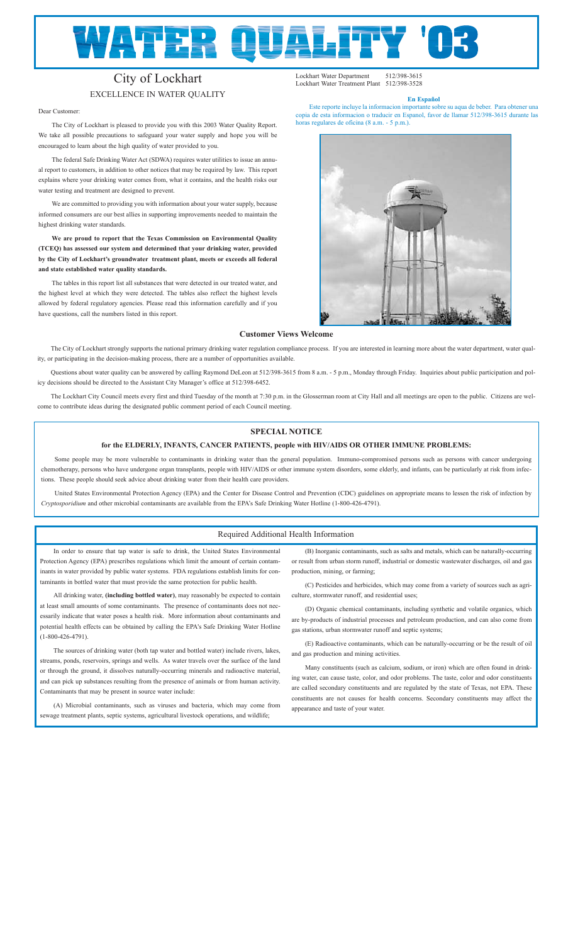# **WATER Q** i.

## City of Lockhart

### EXCELLENCE IN WATER QUALITY

Dear Customer:

The City of Lockhart is pleased to provide you with this 2003 Water Quality Report. We take all possible precautions to safeguard your water supply and hope you will be encouraged to learn about the high quality of water provided to you.

The federal Safe Drinking Water Act (SDWA) requires water utilities to issue an annual report to customers, in addition to other notices that may be required by law. This report explains where your drinking water comes from, what it contains, and the health risks our water testing and treatment are designed to prevent.

We are committed to providing you with information about your water supply, because informed consumers are our best allies in supporting improvements needed to maintain the highest drinking water standards.

**We are proud to report that the Texas Commission on Environmental Quality (TCEQ) has assessed our system and determined that your drinking water, provided by the City of Lockhart's groundwater treatment plant, meets or exceeds all federal and state established water quality standards.** 

The tables in this report list all substances that were detected in our treated water, and the highest level at which they were detected. The tables also reflect the highest levels allowed by federal regulatory agencies. Please read this information carefully and if you have questions, call the numbers listed in this report.

#### **Customer Views Welcome**

The City of Lockhart strongly supports the national primary drinking water regulation compliance process. If you are interested in learning more about the water department, water quality, or participating in the decision-making process, there are a number of opportunities available.

Questions about water quality can be answered by calling Raymond DeLeon at 512/398-3615 from 8 a.m. - 5 p.m., Monday through Friday. Inquiries about public participation and policy decisions should be directed to the Assistant City Manager's office at 512/398-6452.

The Lockhart City Council meets every first and third Tuesday of the month at 7:30 p.m. in the Glosserman room at City Hall and all meetings are open to the public. Citizens are welcome to contribute ideas during the designated public comment period of each Council meeting.

#### **SPECIAL NOTICE**

#### **for the ELDERLY, INFANTS, CANCER PATIENTS, people with HIV/AIDS OR OTHER IMMUNE PROBLEMS:**

Some people may be more vulnerable to contaminants in drinking water than the general population. Immuno-compromised persons such as persons with cancer undergoing chemotherapy, persons who have undergone organ transplants, people with HIV/AIDS or other immune system disorders, some elderly, and infants, can be particularly at risk from infections. These people should seek advice about drinking water from their health care providers.

United States Environmental Protection Agency (EPA) and the Center for Disease Control and Prevention (CDC) guidelines on appropriate means to lessen the risk of infection by *Cryptosporidium* and other microbial contaminants are available from the EPA's Safe Drinking Water Hotline (1-800-426-4791).

#### Required Additional Health Information

In order to ensure that tap water is safe to drink, the United States Environmental Protection Agency (EPA) prescribes regulations which limit the amount of certain contaminants in water provided by public water systems. FDA regulations establish limits for contaminants in bottled water that must provide the same protection for public health.

All drinking water, **(including bottled water)**, may reasonably be expected to contain at least small amounts of some contaminants. The presence of contaminants does not necessarily indicate that water poses a health risk. More information about contaminants and potential health effects can be obtained by calling the EPA's Safe Drinking Water Hotline (1-800-426-4791).

The sources of drinking water (both tap water and bottled water) include rivers, lakes, streams, ponds, reservoirs, springs and wells. As water travels over the surface of the land or through the ground, it dissolves naturally-occurring minerals and radioactive material, and can pick up substances resulting from the presence of animals or from human activity. Contaminants that may be present in source water include:

(A) Microbial contaminants, such as viruses and bacteria, which may come from sewage treatment plants, septic systems, agricultural livestock operations, and wildlife;

(B) Inorganic contaminants, such as salts and metals, which can be naturally-occurring or result from urban storm runoff, industrial or domestic wastewater discharges, oil and gas production, mining, or farming;

(C) Pesticides and herbicides, which may come from a variety of sources such as agriculture, stormwater runoff, and residential uses;

(D) Organic chemical contaminants, including synthetic and volatile organics, which are by-products of industrial processes and petroleum production, and can also come from gas stations, urban stormwater runoff and septic systems;

(E) Radioactive contaminants, which can be naturally-occurring or be the result of oil and gas production and mining activities.

Many constituents (such as calcium, sodium, or iron) which are often found in drinking water, can cause taste, color, and odor problems. The taste, color and odor constituents are called secondary constituents and are regulated by the state of Texas, not EPA. These constituents are not causes for health concerns. Secondary constituents may affect the appearance and taste of your water.



**En Español** Este reporte incluye la informacion importante sobre su aqua de beber. Para obtener u copia de esta informacion o traducir en Espanol, favor de llamar 512/398-3615 durante las

Lockhart Water Department 512/398-3615 Lockhart Water Treatment Plant 512/398-3528

horas regulares de oficina (8 a.m. - 5 p.m.).